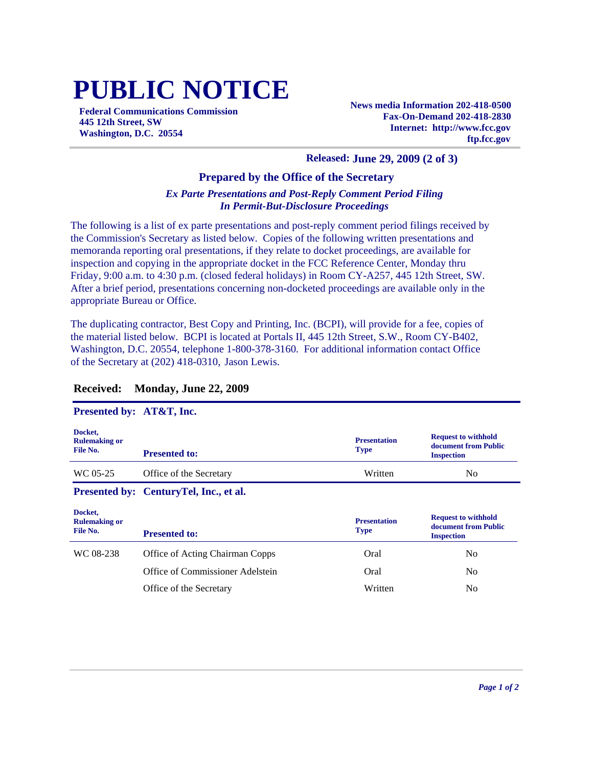# **PUBLIC NOTICE**

**Federal Communications Commission 445 12th Street, SW Washington, D.C. 20554**

**News media Information 202-418-0500 Fax-On-Demand 202-418-2830 Internet: http://www.fcc.gov ftp.fcc.gov**

#### **Released: June 29, 2009 (2 of 3)**

### **Prepared by the Office of the Secretary**

#### *Ex Parte Presentations and Post-Reply Comment Period Filing In Permit-But-Disclosure Proceedings*

The following is a list of ex parte presentations and post-reply comment period filings received by the Commission's Secretary as listed below. Copies of the following written presentations and memoranda reporting oral presentations, if they relate to docket proceedings, are available for inspection and copying in the appropriate docket in the FCC Reference Center, Monday thru Friday, 9:00 a.m. to 4:30 p.m. (closed federal holidays) in Room CY-A257, 445 12th Street, SW. After a brief period, presentations concerning non-docketed proceedings are available only in the appropriate Bureau or Office.

The duplicating contractor, Best Copy and Printing, Inc. (BCPI), will provide for a fee, copies of the material listed below. BCPI is located at Portals II, 445 12th Street, S.W., Room CY-B402, Washington, D.C. 20554, telephone 1-800-378-3160. For additional information contact Office of the Secretary at (202) 418-0310, Jason Lewis.

| Presented by: AT&T, Inc.                    |                                        |                                    |                                                                         |
|---------------------------------------------|----------------------------------------|------------------------------------|-------------------------------------------------------------------------|
| Docket,<br><b>Rulemaking or</b><br>File No. | <b>Presented to:</b>                   | <b>Presentation</b><br><b>Type</b> | <b>Request to withhold</b><br>document from Public<br><b>Inspection</b> |
| WC 05-25                                    | Office of the Secretary                | Written                            | No.                                                                     |
|                                             | Presented by: CenturyTel, Inc., et al. |                                    |                                                                         |
| Docket,<br><b>Rulemaking or</b><br>File No. |                                        | <b>Presentation</b>                | <b>Request to withhold</b><br>document from Public                      |
|                                             | <b>Presented to:</b>                   | <b>Type</b>                        | <b>Inspection</b>                                                       |
| WC 08-238                                   | <b>Office of Acting Chairman Copps</b> | Oral                               | N <sub>0</sub>                                                          |
|                                             | Office of Commissioner Adelstein       | Oral                               | N <sub>0</sub>                                                          |

#### **Received: Monday, June 22, 2009**